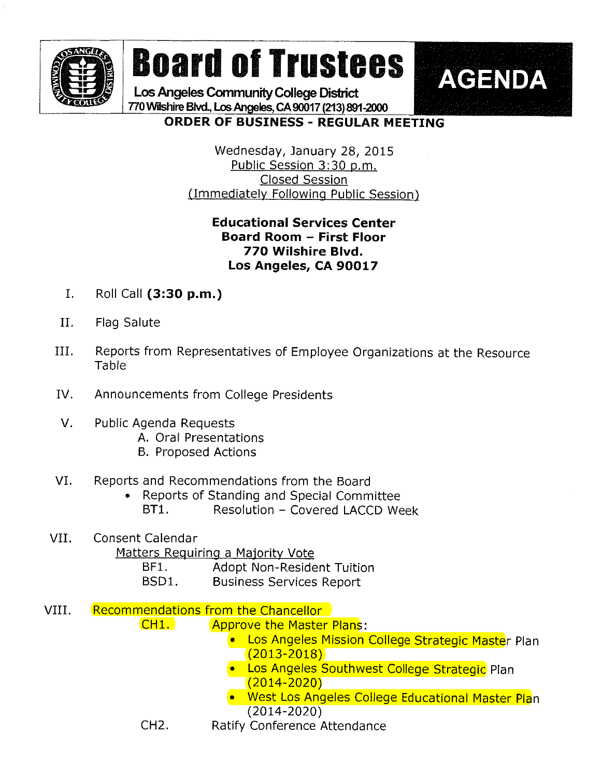

# Board of Trustees | AGENDA

Los Angeles Community College District 770 Wilshire Blvd., Los Angeles, CA 90017 (213) 891-2000

#### ORDER OF BUSINESS - REGULAR MEETING

Wednesday, January 28, 2015 Public Session 3:30 p.m. Closed Session (Immediately Following Public Session)

#### Educational Services Center Board Room - First Floor 770 Wilshire Blvd. Los Angeles, CA 90017

- I. Roll Call (3:30 p.m.)
- II. Flag Salute
- III. Reports from Representatives of Employee Organizations at the Resource Table
- IV. Announcements from College Presidents
- V. Public Agenda Requests
	- A. Oral Presentations
	- B. Proposed Actions

#### VI. Reports and Recommendations from the Board

. Reports of Standing and Special Committee BT1. Resolution - Covered LACCD Week

### VII. Consent Calendar Matters Requiring a Majority Vote

- BF1. Adopt Non-Resident Tuition
- BSD1. Business Services Report
- VIII. Recommendations from the Chancellor
	- CH1. Approve the Master Plans:
		- **.** Los Angeles Mission College Strategic Master Plan (2013-2018)
		- **. Los Angeles Southwest College Strategic** Plan (2014-2020)
		- » West Los Angeles College Educationai Master Plan (2014-2020)
	- CH2. Ratify Conference Attendance